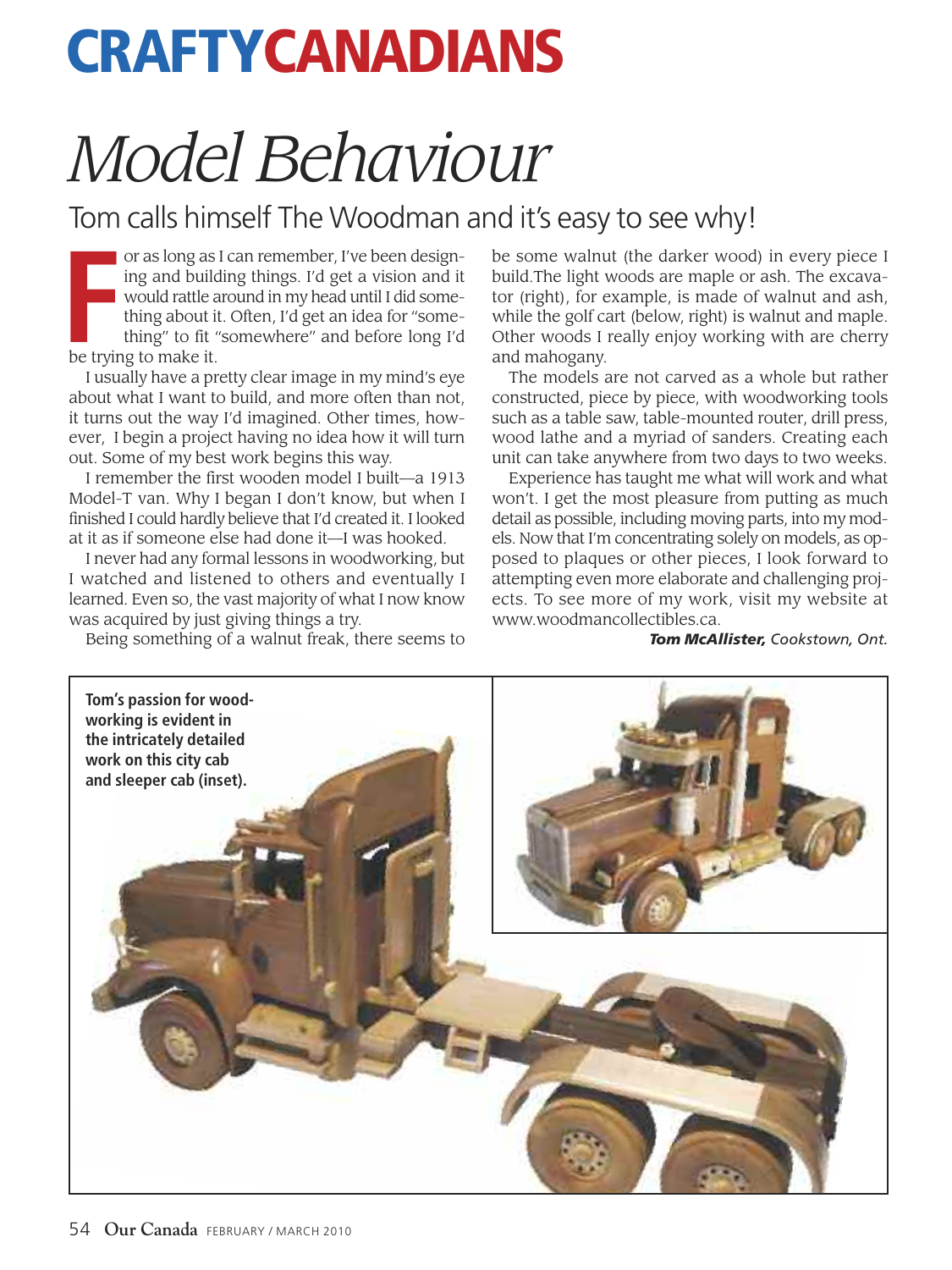## **CRAFTYCANADIANS**

## *Model Behaviour*

## Tom calls himself The Woodman and it's easy to see why!

**Fraction** or as long as<br>
ing and build<br>
would rattle a<br>
thing about if<br>
thing" to fit<br>
be trying to make it. or as long as I can remember, I've been designing and building things. I'd get a vision and it would rattle around in my head until I did something about it. Often, I'd get an idea for "something" to fit "somewhere" and before long I'd

I usually have a pretty clear image in my mind's eye about what I want to build, and more often than not, it turns out the way I'd imagined. Other times, however, I begin a project having no idea how it will turn out. Some of my best work begins this way.

I remember the first wooden model I built—a 1913 Model-T van. Why I began I don't know, but when I finished I could hardly believe that I'd created it. I looked at it as if someone else had done it—I was hooked.

I never had any formal lessons in woodworking, but I watched and listened to others and eventually I learned. Even so, the vast majority of what I now know was acquired by just giving things a try.

Being something of a walnut freak, there seems to

be some walnut (the darker wood) in every piece I build.The light woods are maple or ash. The excavator (right), for example, is made of walnut and ash, while the golf cart (below, right) is walnut and maple. Other woods I really enjoy working with are cherry and mahogany.

The models are not carved as a whole but rather constructed, piece by piece, with woodworking tools such as a table saw, table-mounted router, drill press, wood lathe and a myriad of sanders. Creating each unit can take anywhere from two days to two weeks.

Experience has taught me what will work and what won't. I get the most pleasure from putting as much detail as possible, including moving parts, into my models. Now that I'm concentrating solely on models, as opposed to plaques or other pieces, I look forward to attempting even more elaborate and challenging projects. To see more of my work, visit my website at www.woodmancollectibles.ca.

*Tom McAllister, Cookstown, Ont.*